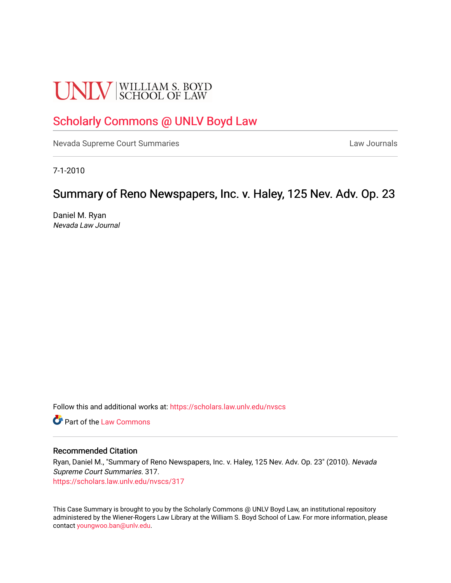# **UNLV** SCHOOL OF LAW

# [Scholarly Commons @ UNLV Boyd Law](https://scholars.law.unlv.edu/)

[Nevada Supreme Court Summaries](https://scholars.law.unlv.edu/nvscs) **Law Journals** Law Journals

7-1-2010

# Summary of Reno Newspapers, Inc. v. Haley, 125 Nev. Adv. Op. 23

Daniel M. Ryan Nevada Law Journal

Follow this and additional works at: [https://scholars.law.unlv.edu/nvscs](https://scholars.law.unlv.edu/nvscs?utm_source=scholars.law.unlv.edu%2Fnvscs%2F317&utm_medium=PDF&utm_campaign=PDFCoverPages)

**C** Part of the [Law Commons](http://network.bepress.com/hgg/discipline/578?utm_source=scholars.law.unlv.edu%2Fnvscs%2F317&utm_medium=PDF&utm_campaign=PDFCoverPages)

#### Recommended Citation

Ryan, Daniel M., "Summary of Reno Newspapers, Inc. v. Haley, 125 Nev. Adv. Op. 23" (2010). Nevada Supreme Court Summaries. 317. [https://scholars.law.unlv.edu/nvscs/317](https://scholars.law.unlv.edu/nvscs/317?utm_source=scholars.law.unlv.edu%2Fnvscs%2F317&utm_medium=PDF&utm_campaign=PDFCoverPages)

This Case Summary is brought to you by the Scholarly Commons @ UNLV Boyd Law, an institutional repository administered by the Wiener-Rogers Law Library at the William S. Boyd School of Law. For more information, please contact [youngwoo.ban@unlv.edu](mailto:youngwoo.ban@unlv.edu).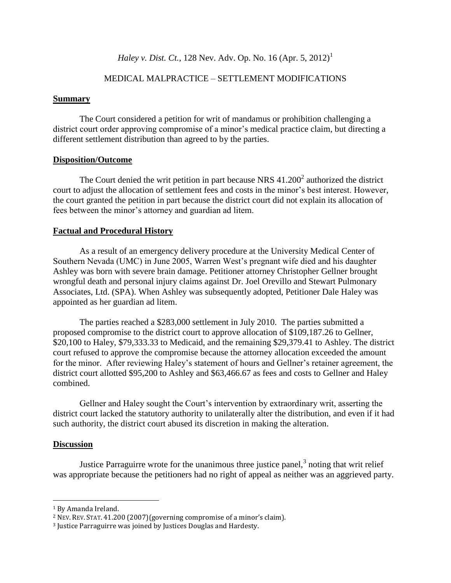## *Haley v. Dist. Ct.,* 128 Nev. Adv. Op. No. 16 (Apr. 5, 2012)<sup>1</sup>

## MEDICAL MALPRACTICE – SETTLEMENT MODIFICATIONS

#### **Summary**

The Court considered a petition for writ of mandamus or prohibition challenging a district court order approving compromise of a minor's medical practice claim, but directing a different settlement distribution than agreed to by the parties.

#### **Disposition/Outcome**

The Court denied the writ petition in part because NRS  $41.200^2$  authorized the district court to adjust the allocation of settlement fees and costs in the minor's best interest. However, the court granted the petition in part because the district court did not explain its allocation of fees between the minor's attorney and guardian ad litem.

#### **Factual and Procedural History**

As a result of an emergency delivery procedure at the University Medical Center of Southern Nevada (UMC) in June 2005, Warren West's pregnant wife died and his daughter Ashley was born with severe brain damage. Petitioner attorney Christopher Gellner brought wrongful death and personal injury claims against Dr. Joel Orevillo and Stewart Pulmonary Associates, Ltd. (SPA). When Ashley was subsequently adopted, Petitioner Dale Haley was appointed as her guardian ad litem.

The parties reached a \$283,000 settlement in July 2010. The parties submitted a proposed compromise to the district court to approve allocation of \$109,187.26 to Gellner, \$20,100 to Haley, \$79,333.33 to Medicaid, and the remaining \$29,379.41 to Ashley. The district court refused to approve the compromise because the attorney allocation exceeded the amount for the minor. After reviewing Haley's statement of hours and Gellner's retainer agreement, the district court allotted \$95,200 to Ashley and \$63,466.67 as fees and costs to Gellner and Haley combined.

Gellner and Haley sought the Court's intervention by extraordinary writ, asserting the district court lacked the statutory authority to unilaterally alter the distribution, and even if it had such authority, the district court abused its discretion in making the alteration.

#### **Discussion**

 $\overline{a}$ 

Justice Parraguirre wrote for the unanimous three justice panel, $3$  noting that writ relief was appropriate because the petitioners had no right of appeal as neither was an aggrieved party.

<sup>1</sup> By Amanda Ireland.

<sup>2</sup> NEV. REV. STAT. 41.200 (2007)(governing compromise of a minor's claim).

<sup>3</sup> Justice Parraguirre was joined by Justices Douglas and Hardesty.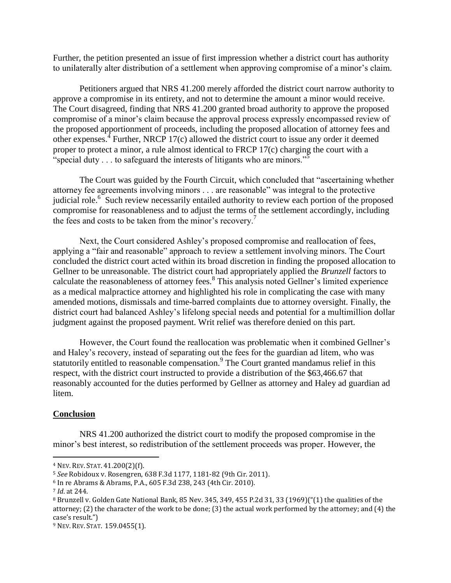Further, the petition presented an issue of first impression whether a district court has authority to unilaterally alter distribution of a settlement when approving compromise of a minor's claim.

Petitioners argued that NRS 41.200 merely afforded the district court narrow authority to approve a compromise in its entirety, and not to determine the amount a minor would receive. The Court disagreed, finding that NRS 41.200 granted broad authority to approve the proposed compromise of a minor's claim because the approval process expressly encompassed review of the proposed apportionment of proceeds, including the proposed allocation of attorney fees and other expenses.<sup>4</sup> Further, NRCP 17 $(c)$  allowed the district court to issue any order it deemed proper to protect a minor, a rule almost identical to FRCP 17(c) charging the court with a "special duty  $\ldots$  to safeguard the interests of litigants who are minors."<sup>5</sup>

The Court was guided by the Fourth Circuit, which concluded that "ascertaining whether attorney fee agreements involving minors . . . are reasonable" was integral to the protective judicial role.<sup>6</sup> Such review necessarily entailed authority to review each portion of the proposed compromise for reasonableness and to adjust the terms of the settlement accordingly, including the fees and costs to be taken from the minor's recovery.<sup>7</sup>

Next, the Court considered Ashley's proposed compromise and reallocation of fees, applying a "fair and reasonable" approach to review a settlement involving minors. The Court concluded the district court acted within its broad discretion in finding the proposed allocation to Gellner to be unreasonable. The district court had appropriately applied the *Brunzell* factors to calculate the reasonableness of attorney fees.<sup>8</sup> This analysis noted Gellner's limited experience as a medical malpractice attorney and highlighted his role in complicating the case with many amended motions, dismissals and time-barred complaints due to attorney oversight. Finally, the district court had balanced Ashley's lifelong special needs and potential for a multimillion dollar judgment against the proposed payment. Writ relief was therefore denied on this part.

However, the Court found the reallocation was problematic when it combined Gellner's and Haley's recovery, instead of separating out the fees for the guardian ad litem, who was statutorily entitled to reasonable compensation.<sup>9</sup> The Court granted mandamus relief in this respect, with the district court instructed to provide a distribution of the \$63,466.67 that reasonably accounted for the duties performed by Gellner as attorney and Haley ad guardian ad litem.

## **Conclusion**

NRS 41.200 authorized the district court to modify the proposed compromise in the minor's best interest, so redistribution of the settlement proceeds was proper. However, the

 $\overline{a}$ 

<sup>4</sup> NEV. REV. STAT. 41.200(2)(f).

<sup>5</sup> *See* Robidoux v. Rosengren, 638 F.3d 1177, 1181-82 (9th Cir. 2011).

<sup>6</sup> In re Abrams & Abrams, P.A., 605 F.3d 238, 243 (4th Cir. 2010).

<sup>7</sup> *Id*. at 244.

<sup>8</sup> Brunzell v. Golden Gate National Bank, 85 Nev. 345, 349, 455 P.2d 31, 33 (1969)("(1) the qualities of the attorney; (2) the character of the work to be done; (3) the actual work performed by the attorney; and (4) the case's result.")

<sup>9</sup> NEV. REV. STAT. 159.0455(1).